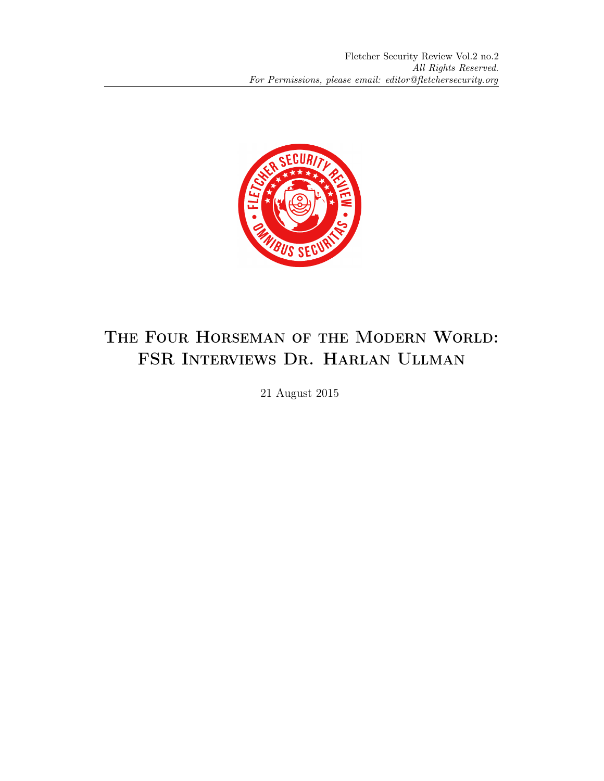

## The Four Horseman of the Modern World: FSR Interviews Dr. Harlan Ullman

21 August 2015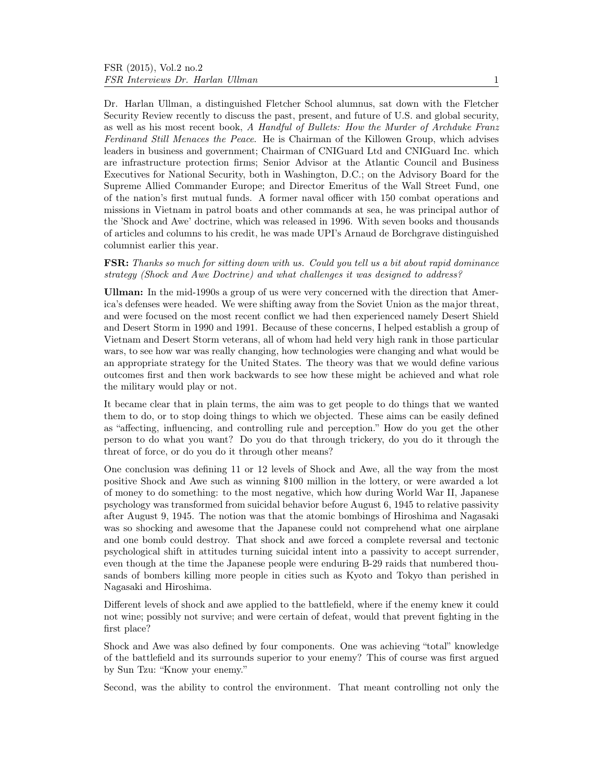Dr. Harlan Ullman, a distinguished Fletcher School alumnus, sat down with the Fletcher Security Review recently to discuss the past, present, and future of U.S. and global security, as well as his most recent book, A Handful of Bullets: How the Murder of Archduke Franz Ferdinand Still Menaces the Peace. He is Chairman of the Killowen Group, which advises leaders in business and government; Chairman of CNIGuard Ltd and CNIGuard Inc. which are infrastructure protection firms; Senior Advisor at the Atlantic Council and Business Executives for National Security, both in Washington, D.C.; on the Advisory Board for the Supreme Allied Commander Europe; and Director Emeritus of the Wall Street Fund, one of the nation's first mutual funds. A former naval officer with 150 combat operations and missions in Vietnam in patrol boats and other commands at sea, he was principal author of the 'Shock and Awe' doctrine, which was released in 1996. With seven books and thousands of articles and columns to his credit, he was made UPI's Arnaud de Borchgrave distinguished columnist earlier this year.

## FSR: Thanks so much for sitting down with us. Could you tell us a bit about rapid dominance strategy (Shock and Awe Doctrine) and what challenges it was designed to address?

Ullman: In the mid-1990s a group of us were very concerned with the direction that America's defenses were headed. We were shifting away from the Soviet Union as the major threat, and were focused on the most recent conflict we had then experienced namely Desert Shield and Desert Storm in 1990 and 1991. Because of these concerns, I helped establish a group of Vietnam and Desert Storm veterans, all of whom had held very high rank in those particular wars, to see how war was really changing, how technologies were changing and what would be an appropriate strategy for the United States. The theory was that we would define various outcomes first and then work backwards to see how these might be achieved and what role the military would play or not.

It became clear that in plain terms, the aim was to get people to do things that we wanted them to do, or to stop doing things to which we objected. These aims can be easily defined as "affecting, influencing, and controlling rule and perception." How do you get the other person to do what you want? Do you do that through trickery, do you do it through the threat of force, or do you do it through other means?

One conclusion was defining 11 or 12 levels of Shock and Awe, all the way from the most positive Shock and Awe such as winning \$100 million in the lottery, or were awarded a lot of money to do something: to the most negative, which how during World War II, Japanese psychology was transformed from suicidal behavior before August 6, 1945 to relative passivity after August 9, 1945. The notion was that the atomic bombings of Hiroshima and Nagasaki was so shocking and awesome that the Japanese could not comprehend what one airplane and one bomb could destroy. That shock and awe forced a complete reversal and tectonic psychological shift in attitudes turning suicidal intent into a passivity to accept surrender, even though at the time the Japanese people were enduring B-29 raids that numbered thousands of bombers killing more people in cities such as Kyoto and Tokyo than perished in Nagasaki and Hiroshima.

Different levels of shock and awe applied to the battlefield, where if the enemy knew it could not wine; possibly not survive; and were certain of defeat, would that prevent fighting in the first place?

Shock and Awe was also defined by four components. One was achieving "total" knowledge of the battlefield and its surrounds superior to your enemy? This of course was first argued by Sun Tzu: "Know your enemy."

Second, was the ability to control the environment. That meant controlling not only the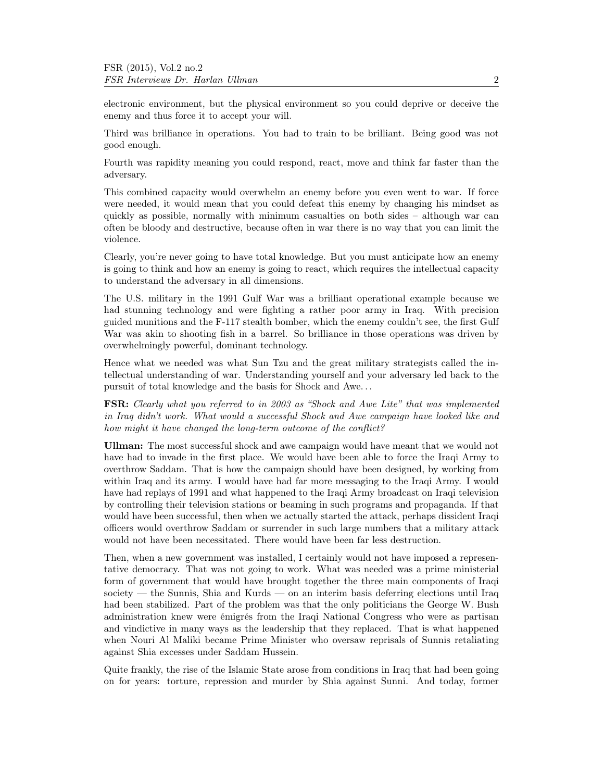electronic environment, but the physical environment so you could deprive or deceive the enemy and thus force it to accept your will.

Third was brilliance in operations. You had to train to be brilliant. Being good was not good enough.

Fourth was rapidity meaning you could respond, react, move and think far faster than the adversary.

This combined capacity would overwhelm an enemy before you even went to war. If force were needed, it would mean that you could defeat this enemy by changing his mindset as quickly as possible, normally with minimum casualties on both sides – although war can often be bloody and destructive, because often in war there is no way that you can limit the violence.

Clearly, you're never going to have total knowledge. But you must anticipate how an enemy is going to think and how an enemy is going to react, which requires the intellectual capacity to understand the adversary in all dimensions.

The U.S. military in the 1991 Gulf War was a brilliant operational example because we had stunning technology and were fighting a rather poor army in Iraq. With precision guided munitions and the F-117 stealth bomber, which the enemy couldn't see, the first Gulf War was akin to shooting fish in a barrel. So brilliance in those operations was driven by overwhelmingly powerful, dominant technology.

Hence what we needed was what Sun Tzu and the great military strategists called the intellectual understanding of war. Understanding yourself and your adversary led back to the pursuit of total knowledge and the basis for Shock and Awe. . .

FSR: Clearly what you referred to in 2003 as "Shock and Awe Lite" that was implemented in Iraq didn't work. What would a successful Shock and Awe campaign have looked like and how might it have changed the long-term outcome of the conflict?

Ullman: The most successful shock and awe campaign would have meant that we would not have had to invade in the first place. We would have been able to force the Iraqi Army to overthrow Saddam. That is how the campaign should have been designed, by working from within Iraq and its army. I would have had far more messaging to the Iraqi Army. I would have had replays of 1991 and what happened to the Iraqi Army broadcast on Iraqi television by controlling their television stations or beaming in such programs and propaganda. If that would have been successful, then when we actually started the attack, perhaps dissident Iraqi officers would overthrow Saddam or surrender in such large numbers that a military attack would not have been necessitated. There would have been far less destruction.

Then, when a new government was installed, I certainly would not have imposed a representative democracy. That was not going to work. What was needed was a prime ministerial form of government that would have brought together the three main components of Iraqi society — the Sunnis, Shia and Kurds — on an interim basis deferring elections until Iraq had been stabilized. Part of the problem was that the only politicians the George W. Bush administration knew were émigrés from the Iraqi National Congress who were as partisan and vindictive in many ways as the leadership that they replaced. That is what happened when Nouri Al Maliki became Prime Minister who oversaw reprisals of Sunnis retaliating against Shia excesses under Saddam Hussein.

Quite frankly, the rise of the Islamic State arose from conditions in Iraq that had been going on for years: torture, repression and murder by Shia against Sunni. And today, former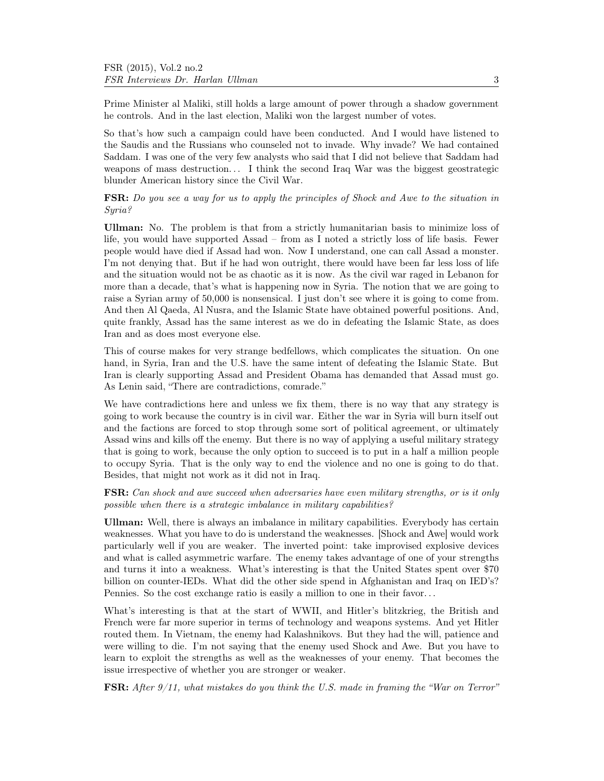Prime Minister al Maliki, still holds a large amount of power through a shadow government he controls. And in the last election, Maliki won the largest number of votes.

So that's how such a campaign could have been conducted. And I would have listened to the Saudis and the Russians who counseled not to invade. Why invade? We had contained Saddam. I was one of the very few analysts who said that I did not believe that Saddam had weapons of mass destruction... I think the second Iraq War was the biggest geostrategic blunder American history since the Civil War.

FSR: Do you see a way for us to apply the principles of Shock and Awe to the situation in Syria?

Ullman: No. The problem is that from a strictly humanitarian basis to minimize loss of life, you would have supported Assad – from as I noted a strictly loss of life basis. Fewer people would have died if Assad had won. Now I understand, one can call Assad a monster. I'm not denying that. But if he had won outright, there would have been far less loss of life and the situation would not be as chaotic as it is now. As the civil war raged in Lebanon for more than a decade, that's what is happening now in Syria. The notion that we are going to raise a Syrian army of 50,000 is nonsensical. I just don't see where it is going to come from. And then Al Qaeda, Al Nusra, and the Islamic State have obtained powerful positions. And, quite frankly, Assad has the same interest as we do in defeating the Islamic State, as does Iran and as does most everyone else.

This of course makes for very strange bedfellows, which complicates the situation. On one hand, in Syria, Iran and the U.S. have the same intent of defeating the Islamic State. But Iran is clearly supporting Assad and President Obama has demanded that Assad must go. As Lenin said, "There are contradictions, comrade."

We have contradictions here and unless we fix them, there is no way that any strategy is going to work because the country is in civil war. Either the war in Syria will burn itself out and the factions are forced to stop through some sort of political agreement, or ultimately Assad wins and kills off the enemy. But there is no way of applying a useful military strategy that is going to work, because the only option to succeed is to put in a half a million people to occupy Syria. That is the only way to end the violence and no one is going to do that. Besides, that might not work as it did not in Iraq.

FSR: Can shock and awe succeed when adversaries have even military strengths, or is it only possible when there is a strategic imbalance in military capabilities?

Ullman: Well, there is always an imbalance in military capabilities. Everybody has certain weaknesses. What you have to do is understand the weaknesses. [Shock and Awe] would work particularly well if you are weaker. The inverted point: take improvised explosive devices and what is called asymmetric warfare. The enemy takes advantage of one of your strengths and turns it into a weakness. What's interesting is that the United States spent over \$70 billion on counter-IEDs. What did the other side spend in Afghanistan and Iraq on IED's? Pennies. So the cost exchange ratio is easily a million to one in their favor. . .

What's interesting is that at the start of WWII, and Hitler's blitzkrieg, the British and French were far more superior in terms of technology and weapons systems. And yet Hitler routed them. In Vietnam, the enemy had Kalashnikovs. But they had the will, patience and were willing to die. I'm not saying that the enemy used Shock and Awe. But you have to learn to exploit the strengths as well as the weaknesses of your enemy. That becomes the issue irrespective of whether you are stronger or weaker.

FSR: After 9/11, what mistakes do you think the U.S. made in framing the "War on Terror"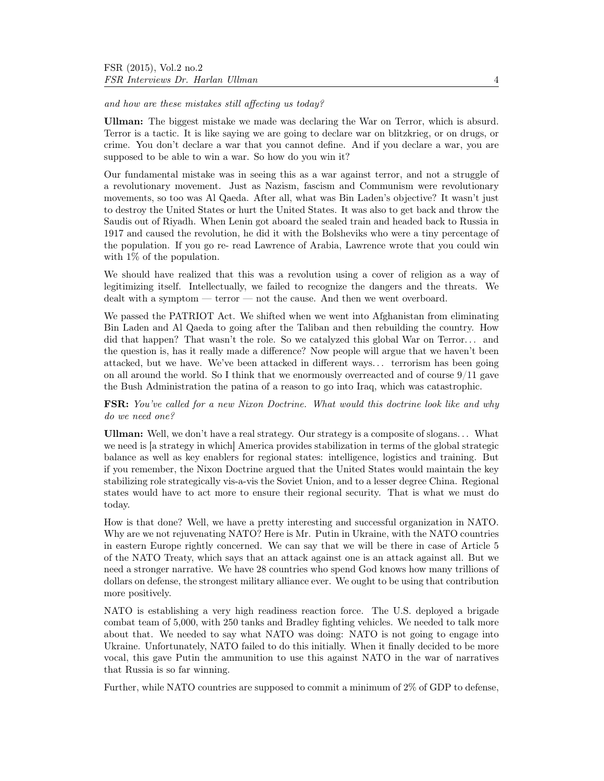and how are these mistakes still affecting us today?

Ullman: The biggest mistake we made was declaring the War on Terror, which is absurd. Terror is a tactic. It is like saying we are going to declare war on blitzkrieg, or on drugs, or crime. You don't declare a war that you cannot define. And if you declare a war, you are supposed to be able to win a war. So how do you win it?

Our fundamental mistake was in seeing this as a war against terror, and not a struggle of a revolutionary movement. Just as Nazism, fascism and Communism were revolutionary movements, so too was Al Qaeda. After all, what was Bin Laden's objective? It wasn't just to destroy the United States or hurt the United States. It was also to get back and throw the Saudis out of Riyadh. When Lenin got aboard the sealed train and headed back to Russia in 1917 and caused the revolution, he did it with the Bolsheviks who were a tiny percentage of the population. If you go re- read Lawrence of Arabia, Lawrence wrote that you could win with  $1\%$  of the population.

We should have realized that this was a revolution using a cover of religion as a way of legitimizing itself. Intellectually, we failed to recognize the dangers and the threats. We dealt with a symptom — terror — not the cause. And then we went overboard.

We passed the PATRIOT Act. We shifted when we went into Afghanistan from eliminating Bin Laden and Al Qaeda to going after the Taliban and then rebuilding the country. How did that happen? That wasn't the role. So we catalyzed this global War on Terror... and the question is, has it really made a difference? Now people will argue that we haven't been attacked, but we have. We've been attacked in different ways. . . terrorism has been going on all around the world. So I think that we enormously overreacted and of course  $9/11$  gave the Bush Administration the patina of a reason to go into Iraq, which was catastrophic.

## FSR: You've called for a new Nixon Doctrine. What would this doctrine look like and why do we need one?

Ullman: Well, we don't have a real strategy. Our strategy is a composite of slogans. . . What we need is [a strategy in which] America provides stabilization in terms of the global strategic balance as well as key enablers for regional states: intelligence, logistics and training. But if you remember, the Nixon Doctrine argued that the United States would maintain the key stabilizing role strategically vis-a-vis the Soviet Union, and to a lesser degree China. Regional states would have to act more to ensure their regional security. That is what we must do today.

How is that done? Well, we have a pretty interesting and successful organization in NATO. Why are we not rejuvenating NATO? Here is Mr. Putin in Ukraine, with the NATO countries in eastern Europe rightly concerned. We can say that we will be there in case of Article 5 of the NATO Treaty, which says that an attack against one is an attack against all. But we need a stronger narrative. We have 28 countries who spend God knows how many trillions of dollars on defense, the strongest military alliance ever. We ought to be using that contribution more positively.

NATO is establishing a very high readiness reaction force. The U.S. deployed a brigade combat team of 5,000, with 250 tanks and Bradley fighting vehicles. We needed to talk more about that. We needed to say what NATO was doing: NATO is not going to engage into Ukraine. Unfortunately, NATO failed to do this initially. When it finally decided to be more vocal, this gave Putin the ammunition to use this against NATO in the war of narratives that Russia is so far winning.

Further, while NATO countries are supposed to commit a minimum of 2% of GDP to defense,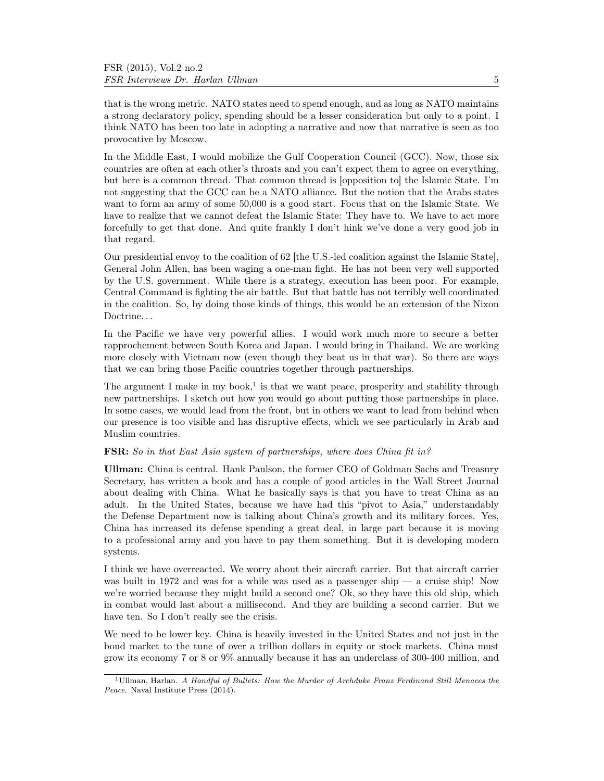that is the wrong metric. NATO states need to spend enough, and as long as NATO maintains a strong declaratory policy, spending should be a lesser consideration but only to a point. I think NATO has been too late in adopting a narrative and now that narrative is seen as too provocative by Moscow.

In the Middle East, I would mobilize the Gulf Cooperation Council (GCC). Now, those six countries are often at each other's throats and you can't expect them to agree on everything, but here is a common thread. That common thread is [opposition to] the Islamic State. I'm not suggesting that the GCC can be a NATO alliance. But the notion that the Arabs states want to form an army of some 50,000 is a good start. Focus that on the Islamic State. We have to realize that we cannot defeat the Islamic State: They have to. We have to act more forcefully to get that done. And quite frankly I don't hink we've done a very good job in that regard.

Our presidential envoy to the coalition of 62 [the U.S.-led coalition against the Islamic State], General John Allen, has been waging a one-man fight. He has not been very well supported by the U.S. government. While there is a strategy, execution has been poor. For example, Central Command is fighting the air battle. But that battle has not terribly well coordinated in the coalition. So, by doing those kinds of things, this would be an extension of the Nixon Doctrine...

In the Pacific we have very powerful allies. I would work much more to secure a better rapprochement between South Korea and Japan. I would bring in Thailand. We are working more closely with Vietnam now (even though they beat us in that war). So there are ways that we can bring those Pacific countries together through partnerships.

The argument I make in my book,<sup>1</sup> is that we want peace, prosperity and stability through new partnerships. I sketch out how you would go about putting those partnerships in place. In some cases, we would lead from the front, but in others we want to lead from behind when our presence is too visible and has disruptive effects, which we see particularly in Arab and Muslim countries.

## FSR: So in that East Asia system of partnerships, where does China fit in?

Ullman: China is central. Hank Paulson, the former CEO of Goldman Sachs and Treasury Secretary, has written a book and has a couple of good articles in the Wall Street Journal about dealing with China. What he basically says is that you have to treat China as an adult. In the United States, because we have had this "pivot to Asia," understandably the Defense Department now is talking about China's growth and its military forces. Yes, China has increased its defense spending a great deal, in large part because it is moving to a professional army and you have to pay them something. But it is developing modern systems.

I think we have overreacted. We worry about their aircraft carrier. But that aircraft carrier was built in 1972 and was for a while was used as a passenger ship — a cruise ship! Now we're worried because they might build a second one? Ok, so they have this old ship, which in combat would last about a millisecond. And they are building a second carrier. But we have ten. So I don't really see the crisis.

We need to be lower key. China is heavily invested in the United States and not just in the bond market to the tune of over a trillion dollars in equity or stock markets. China must grow its economy 7 or 8 or 9% annually because it has an underclass of 300-400 million, and

<sup>1</sup>Ullman, Harlan. A Handful of Bullets: How the Murder of Archduke Franz Ferdinand Still Menaces the Peace. Naval Institute Press (2014).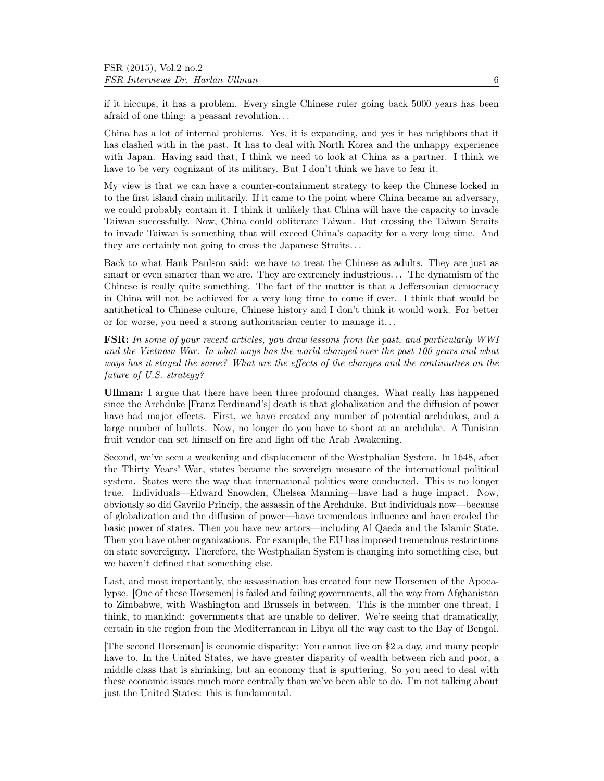if it hiccups, it has a problem. Every single Chinese ruler going back 5000 years has been afraid of one thing: a peasant revolution. . .

China has a lot of internal problems. Yes, it is expanding, and yes it has neighbors that it has clashed with in the past. It has to deal with North Korea and the unhappy experience with Japan. Having said that, I think we need to look at China as a partner. I think we have to be very cognizant of its military. But I don't think we have to fear it.

My view is that we can have a counter-containment strategy to keep the Chinese locked in to the first island chain militarily. If it came to the point where China became an adversary, we could probably contain it. I think it unlikely that China will have the capacity to invade Taiwan successfully. Now, China could obliterate Taiwan. But crossing the Taiwan Straits to invade Taiwan is something that will exceed China's capacity for a very long time. And they are certainly not going to cross the Japanese Straits. . .

Back to what Hank Paulson said: we have to treat the Chinese as adults. They are just as smart or even smarter than we are. They are extremely industrious... The dynamism of the Chinese is really quite something. The fact of the matter is that a Jeffersonian democracy in China will not be achieved for a very long time to come if ever. I think that would be antithetical to Chinese culture, Chinese history and I don't think it would work. For better or for worse, you need a strong authoritarian center to manage it. . .

FSR: In some of your recent articles, you draw lessons from the past, and particularly WWI and the Vietnam War. In what ways has the world changed over the past 100 years and what ways has it stayed the same? What are the effects of the changes and the continuities on the future of U.S. strategy?

Ullman: I argue that there have been three profound changes. What really has happened since the Archduke [Franz Ferdinand's] death is that globalization and the diffusion of power have had major effects. First, we have created any number of potential archdukes, and a large number of bullets. Now, no longer do you have to shoot at an archduke. A Tunisian fruit vendor can set himself on fire and light off the Arab Awakening.

Second, we've seen a weakening and displacement of the Westphalian System. In 1648, after the Thirty Years' War, states became the sovereign measure of the international political system. States were the way that international politics were conducted. This is no longer true. Individuals—Edward Snowden, Chelsea Manning—have had a huge impact. Now, obviously so did Gavrilo Princip, the assassin of the Archduke. But individuals now—because of globalization and the diffusion of power—have tremendous influence and have eroded the basic power of states. Then you have new actors—including Al Qaeda and the Islamic State. Then you have other organizations. For example, the EU has imposed tremendous restrictions on state sovereignty. Therefore, the Westphalian System is changing into something else, but we haven't defined that something else.

Last, and most importantly, the assassination has created four new Horsemen of the Apocalypse. [One of these Horsemen] is failed and failing governments, all the way from Afghanistan to Zimbabwe, with Washington and Brussels in between. This is the number one threat, I think, to mankind: governments that are unable to deliver. We're seeing that dramatically, certain in the region from the Mediterranean in Libya all the way east to the Bay of Bengal.

[The second Horseman] is economic disparity: You cannot live on \$2 a day, and many people have to. In the United States, we have greater disparity of wealth between rich and poor, a middle class that is shrinking, but an economy that is sputtering. So you need to deal with these economic issues much more centrally than we've been able to do. I'm not talking about just the United States: this is fundamental.